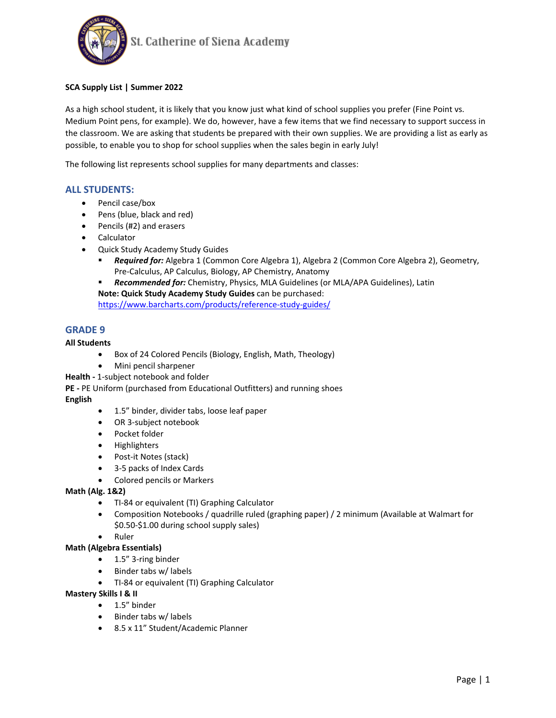

# **SCA Supply List | Summer 2022**

As a high school student, it is likely that you know just what kind of school supplies you prefer (Fine Point vs. Medium Point pens, for example). We do, however, have a few items that we find necessary to support success in the classroom. We are asking that students be prepared with their own supplies. We are providing a list as early as possible, to enable you to shop for school supplies when the sales begin in early July!

The following list represents school supplies for many departments and classes:

# **ALL STUDENTS:**

- Pencil case/box
- Pens (blue, black and red)
- Pencils (#2) and erasers
- Calculator
- Quick Study Academy Study Guides
	- *Required for:* Algebra 1 (Common Core Algebra 1), Algebra 2 (Common Core Algebra 2), Geometry, Pre-Calculus, AP Calculus, Biology, AP Chemistry, Anatomy

*Recommended for:* Chemistry, Physics, MLA Guidelines (or MLA/APA Guidelines), Latin

**Note: Quick Study Academy Study Guides** can be purchased:

<https://www.barcharts.com/products/reference-study-guides/>

# **GRADE 9**

# **All Students**

- Box of 24 Colored Pencils (Biology, English, Math, Theology)
- Mini pencil sharpener

**Health -** 1-subject notebook and folder

**PE -** PE Uniform (purchased from Educational Outfitters) and running shoes

# **English**

- 1.5" binder, divider tabs, loose leaf paper
- OR 3-subject notebook
- Pocket folder
- Highlighters
- Post-it Notes (stack)
- 3-5 packs of Index Cards
- Colored pencils or Markers

# **Math (Alg. 1&2)**

- TI-84 or equivalent (TI) Graphing Calculator
- Composition Notebooks / quadrille ruled (graphing paper) / 2 minimum (Available at Walmart for \$0.50-\$1.00 during school supply sales)
- Ruler

# **Math (Algebra Essentials)**

- 1.5" 3-ring binder
- Binder tabs w/ labels
- TI-84 or equivalent (TI) Graphing Calculator

# **Mastery Skills I & II**

- 1.5" binder
- Binder tabs w/ labels
- 8.5 x 11" Student/Academic Planner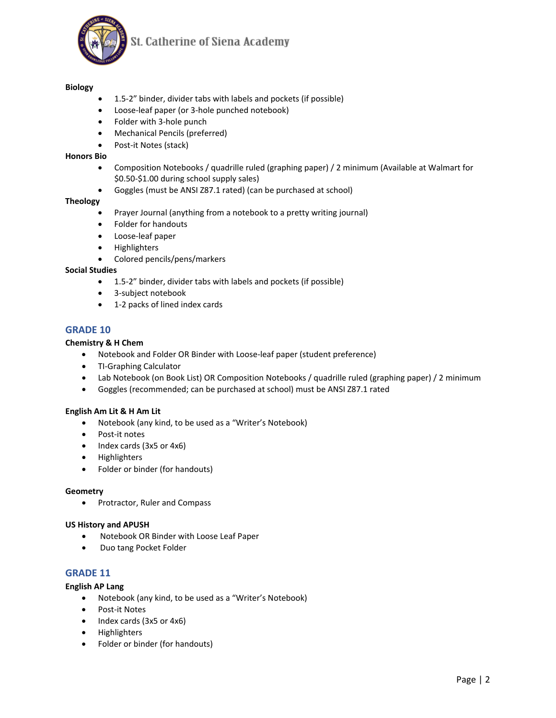

St. Catherine of Siena Academy

# **Biology**

- 1.5-2" binder, divider tabs with labels and pockets (if possible)
- Loose-leaf paper (or 3-hole punched notebook)
- Folder with 3-hole punch
- Mechanical Pencils (preferred)
- Post-it Notes (stack)

# **Honors Bio**

- Composition Notebooks / quadrille ruled (graphing paper) / 2 minimum (Available at Walmart for \$0.50-\$1.00 during school supply sales)
- Goggles (must be ANSI Z87.1 rated) (can be purchased at school)

# **Theology**

- Prayer Journal (anything from a notebook to a pretty writing journal)
- Folder for handouts
- Loose-leaf paper
- Highlighters
- Colored pencils/pens/markers

#### **Social Studies**

- 1.5-2" binder, divider tabs with labels and pockets (if possible)
- 3-subject notebook
- 1-2 packs of lined index cards

# **GRADE 10**

#### **Chemistry & H Chem**

- Notebook and Folder OR Binder with Loose-leaf paper (student preference)
- TI-Graphing Calculator
- Lab Notebook (on Book List) OR Composition Notebooks / quadrille ruled (graphing paper) / 2 minimum
- Goggles (recommended; can be purchased at school) must be ANSI Z87.1 rated

# **English Am Lit & H Am Lit**

- Notebook (any kind, to be used as a "Writer's Notebook)
- Post-it notes
- Index cards (3x5 or 4x6)
- Highlighters
- Folder or binder (for handouts)

#### **Geometry**

• Protractor, Ruler and Compass

#### **US History and APUSH**

- Notebook OR Binder with Loose Leaf Paper
- Duo tang Pocket Folder

# **GRADE 11**

#### **English AP Lang**

- Notebook (any kind, to be used as a "Writer's Notebook)
- Post-it Notes
- Index cards (3x5 or 4x6)
- Highlighters
- Folder or binder (for handouts)